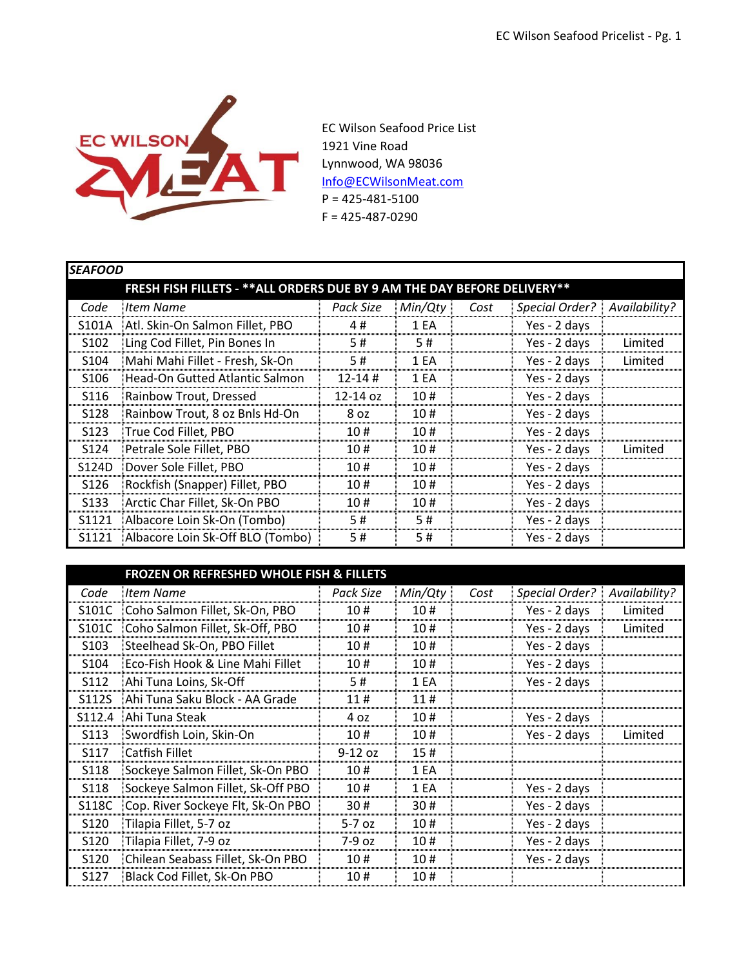

EC Wilson Seafood Price List 1921 Vine Road Lynnwood, WA 98036 [Info@ECWilsonMeat.com](mailto:Info@ECWilsonMeat.com)  $P = 425 - 481 - 5100$ F = 425-487-0290

|                                                                           | <b>SEAFOOD</b>                   |              |         |      |                                |         |  |  |
|---------------------------------------------------------------------------|----------------------------------|--------------|---------|------|--------------------------------|---------|--|--|
| FRESH FISH FILLETS - ** ALL ORDERS DUE BY 9 AM THE DAY BEFORE DELIVERY ** |                                  |              |         |      |                                |         |  |  |
| Code                                                                      | Item Name                        | Pack Size    | Min/Qty | Cost | Special Order?   Availability? |         |  |  |
| S101A                                                                     | Atl. Skin-On Salmon Fillet, PBO  | 4#           | 1 EA    |      | Yes - 2 days                   |         |  |  |
| S <sub>1</sub> 0 <sub>2</sub>                                             | Ling Cod Fillet, Pin Bones In    | 5#           | 5#      |      | Yes - 2 days                   | Limited |  |  |
| S <sub>104</sub>                                                          | Mahi Mahi Fillet - Fresh, Sk-On  | 5#           | 1 FA    |      | Yes - 2 days                   | Limited |  |  |
| S <sub>106</sub>                                                          | Head-On Gutted Atlantic Salmon   | $12 - 14$ #  | 1 EA    |      | Yes - 2 days                   |         |  |  |
| S <sub>116</sub>                                                          | Rainbow Trout, Dressed           | $12 - 14$ oz | 10#     |      | Yes - 2 days                   |         |  |  |
| S128                                                                      | Rainbow Trout, 8 oz Bnls Hd-On   | 8 oz         | 10#     |      | Yes - 2 days                   |         |  |  |
| S <sub>123</sub>                                                          | True Cod Fillet, PBO             | 10#          | 10#     |      | Yes - 2 days                   |         |  |  |
| S124                                                                      | Petrale Sole Fillet, PBO         | 10#          | 10#     |      | Yes - 2 days                   | Limited |  |  |
| S124D                                                                     | Dover Sole Fillet, PBO           | 10#          | 10#     |      | Yes - 2 days                   |         |  |  |
| S126                                                                      | Rockfish (Snapper) Fillet, PBO   | 10#          | 10#     |      | Yes - 2 days                   |         |  |  |
| S <sub>1</sub> 33                                                         | Arctic Char Fillet, Sk-On PBO    | 10#          | 10#     |      | Yes - 2 days                   |         |  |  |
| S1121                                                                     | Albacore Loin Sk-On (Tombo)      | 5#           | 5#      |      | Yes - 2 days                   |         |  |  |
| S1121                                                                     | Albacore Loin Sk-Off BLO (Tombo) | 5#           | 5#      |      | Yes - 2 days                   |         |  |  |

|                   | <b>FROZEN OR REFRESHED WHOLE FISH &amp; FILLETS</b> |           |         |      |                                |         |
|-------------------|-----------------------------------------------------|-----------|---------|------|--------------------------------|---------|
| Code              | <b>Item Name</b>                                    | Pack Size | Min/Qty | Cost | Special Order?   Availability? |         |
| S101C             | Coho Salmon Fillet, Sk-On, PBO                      | 10#       | 10#     |      | Yes - 2 days                   | Limited |
| S101C             | Coho Salmon Fillet, Sk-Off, PBO                     | 10#       | 10#     |      | Yes - 2 days                   | Limited |
| S <sub>10</sub> 3 | Steelhead Sk-On, PBO Fillet                         | 10#       | 10#     |      | Yes - 2 days                   |         |
| S <sub>104</sub>  | Eco-Fish Hook & Line Mahi Fillet                    | 10#       | 10#     |      | Yes - 2 days                   |         |
| S <sub>112</sub>  | Ahi Tuna Loins, Sk-Off                              | 5#        | 1 EA    |      | Yes - 2 days                   |         |
| S112S             | Ahi Tuna Saku Block - AA Grade                      | 11#       | 11#     |      |                                |         |
| S112.4            | <b>Ahi Tuna Steak</b>                               | 4 פ       | 10#     |      | Yes - 2 days                   |         |
| S <sub>113</sub>  | : Swordfish Loin, Skin-On                           | 10#       | 10#     |      | Yes - 2 days                   | Limitec |
| S117              | <b>Catfish Fillet</b>                               | $9-12$ oz | 15#     |      |                                |         |
| S118              | Sockeye Salmon Fillet, Sk-On PBO                    | 10#       | 1 EA    |      |                                |         |
| S118              | Sockeye Salmon Fillet, Sk-Off PBO                   | 10#       | 1 FA    |      | Yes - 2 days                   |         |
| S118C             | Cop. River Sockeye Flt, Sk-On PBO                   | 30#       | 30#     |      | Yes - 2 days                   |         |
| S <sub>120</sub>  | Tilapia Fillet, 5-7 oz                              | $5-707$   | 10#     |      | Yes - 2 days                   |         |
| S <sub>120</sub>  | Tilapia Fillet, 7-9 oz                              | 7-9 oz    | 10#     |      | Yes - 2 days                   |         |
| S <sub>120</sub>  | Chilean Seabass Fillet, Sk-On PBO                   | 10#       | 10#     |      | Yes - 2 days                   |         |
| S127              | Black Cod Fillet, Sk-On PBO!                        | 10#       | 10#     |      |                                |         |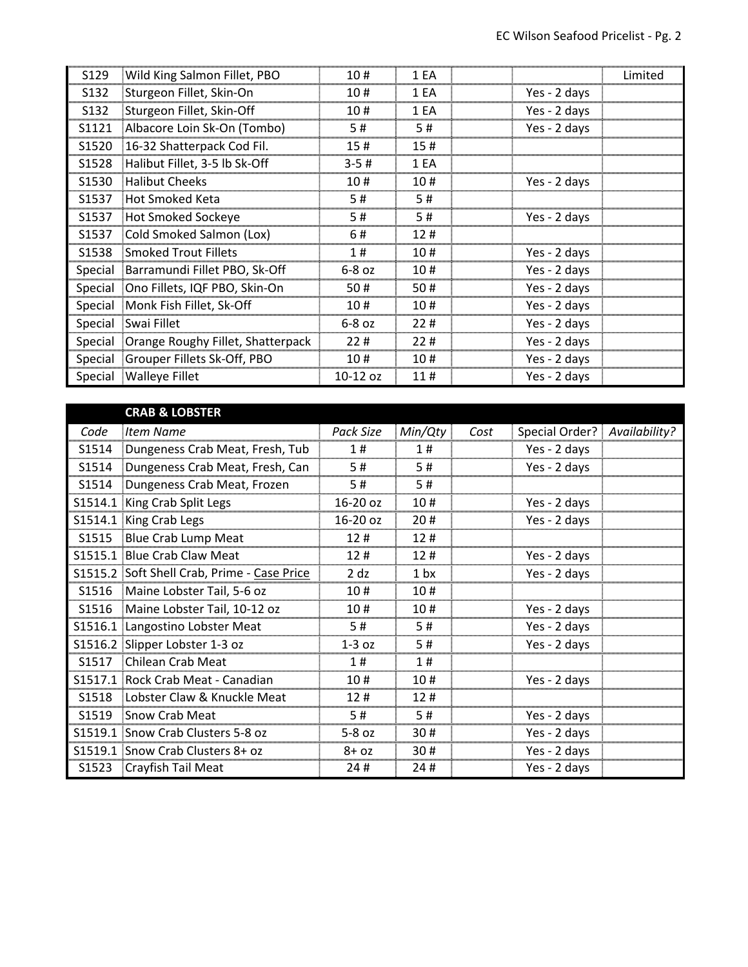| S129              | Wild King Salmon Fillet, PBO                | 10#        | 1 EA |              | Limited |
|-------------------|---------------------------------------------|------------|------|--------------|---------|
| S <sub>1</sub> 32 | Sturgeon Fillet, Skin-On                    | 10#        | 1 FA | Yes - 2 days |         |
| S <sub>1</sub> 32 | Sturgeon Fillet, Skin-Off                   | 10#        | 1 FA | Yes - 2 days |         |
| S1121             | Albacore Loin Sk-On (Tombo)                 | 5#         | 5#   | Yes - 2 days |         |
| S1520             | 16-32 Shatterpack Cod Fil.                  | 15#        | 15#  |              |         |
| S <sub>1528</sub> | Halibut Fillet, 3-5 lb Sk-Off               | $3 - 5#$   | 1 FA |              |         |
| S1530             | Halibut Cheeks                              | 10#        | 10#  | Yes - 2 days |         |
| S1537             | Hot Smoked Keta                             | 5#         | 5#   |              |         |
| S1537             | Hot Smoked Sockeye                          |            | # כ  | Yes - 2 days |         |
| S1537             | Cold Smoked Salmon (Lox)                    | 6#         | 12#  |              |         |
|                   | S1538 Smoked Trout Fillets                  | 1#         | 10#  | Yes - 2 days |         |
|                   | Special Barramundi Fillet PBO, Sk-Off       | $6-8$ $oz$ | 10#  | Yes - 2 days |         |
|                   | Special   Ono Fillets, IQF PBO, Skin-On     | 50#        | 50#  | Yes - 2 days |         |
|                   | Special Monk Fish Fillet, Sk-Off            | 10#        | 10#  | Yes - 2 days |         |
|                   | Special Swai Fillet                         | $6-8.02$   | 22#  | Yes - 2 days |         |
|                   | Special   Orange Roughy Fillet, Shatterpack | 22#        | 22#  | Yes - 2 days |         |
|                   | Special Grouper Fillets Sk-Off, PBO         | 10#        | 10#  | Yes - 2 days |         |
|                   | Special Walleye Fillet                      | $10-12$ oz | 11#  | Yes - 2 days |         |

## **CRAB & LOBSTER**

| Code              | Item Name                                   | Pack Size  | Min/Qty         | Cost | Special Order?   Availability? |  |
|-------------------|---------------------------------------------|------------|-----------------|------|--------------------------------|--|
| S1514             | Dungeness Crab Meat, Fresh, Tub             | 1#         | 1#              |      | Yes - 2 days                   |  |
| S1514             | Dungeness Crab Meat, Fresh, Can             | 5#         | 5#              |      | Yes - 2 days                   |  |
| S1514             | Dungeness Crab Meat, Frozen                 | 5#         | 5#              |      |                                |  |
|                   | S1514.1 King Crab Split Legs                | 16-20 oz   | 10#             |      | Yes - 2 days                   |  |
|                   | S1514.1 King Crab Legs                      | $16-20$ oz | 20#             |      | Yes - 2 days                   |  |
|                   | S1515 Blue Crab Lump Meat                   | 12#        | 12#             |      |                                |  |
|                   | S1515.1 Blue Crab Claw Meat                 | 12#        | 12#             |      | Yes - 2 days                   |  |
|                   | S1515.2 Soft Shell Crab, Prime - Case Price | $2$ dz     | 1 <sub>bx</sub> |      | Yes - 2 days                   |  |
|                   | S1516 Maine Lobster Tail, 5-6 oz            | 10 #       | 10#             |      |                                |  |
|                   | S1516 Maine Lobster Tail, 10-12 oz          | 10#        | 10#             |      | Yes - 2 days                   |  |
|                   | S1516.1 Langostino Lobster Meat             | 5#         | 5#              |      | Yes - 2 days                   |  |
|                   | S1516.2 Slipper Lobster 1-3 oz              | $1-3$ oz   | 5#              |      | Yes - 2 days                   |  |
| S <sub>1517</sub> | Chilean Crab Meat                           | 1#         | 1#              |      |                                |  |
|                   | S1517.1 Rock Crab Meat - Canadian           | 10#        | 10#             |      | Yes - 2 days                   |  |
| S1518             | Lobster Claw & Knuckle Meat                 | 12#        | 12#             |      |                                |  |
| S1519             | Snow Crab Meat                              | 5#         | 5#              |      | Yes - 2 days                   |  |
|                   | S1519.1 Snow Crab Clusters 5-8 oz           | $5-8$ $oz$ | 30#             |      | Yes - 2 days                   |  |
|                   | S1519.1 Snow Crab Clusters 8+ oz            | $8 + 02$   | 30#             |      | Yes - 2 days                   |  |
| S1523             | Crayfish Tail Meat                          | 24#        | 24#             |      | Yes - 2 days                   |  |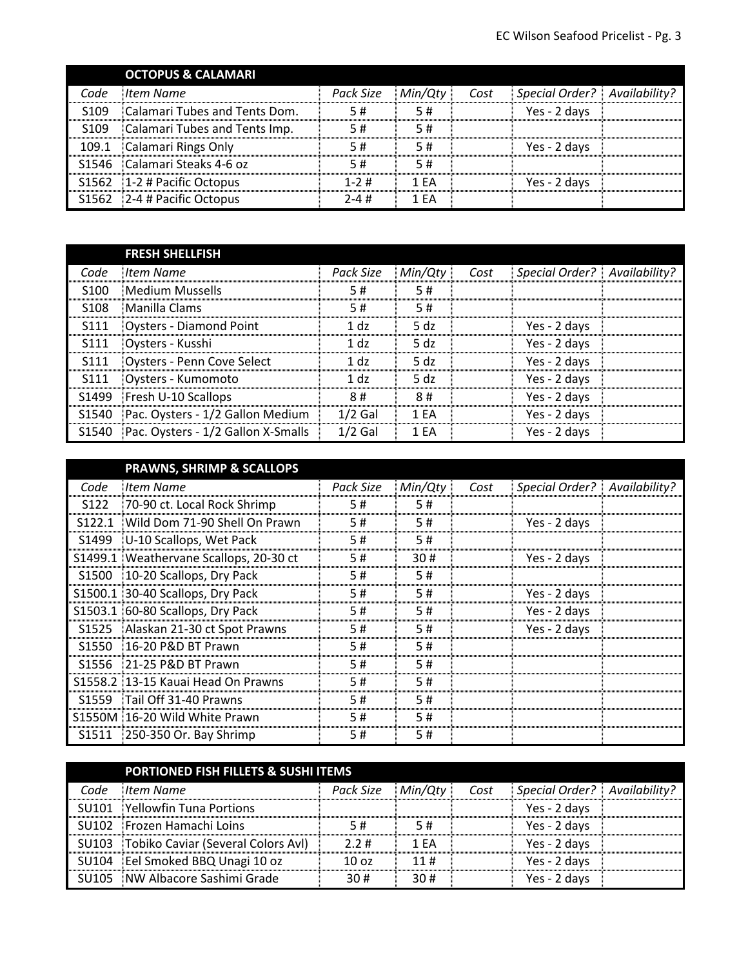|                  | <b>OCTOPUS &amp; CALAMARI</b> |            |         |      |                              |  |
|------------------|-------------------------------|------------|---------|------|------------------------------|--|
| Code             | <b>Item Name</b>              | Pack Size  | Min/Qtv | Cost | Special Order? Availability? |  |
| S <sub>109</sub> | Calamari Tubes and Tents Dom. | 5#         | 5#      |      | Yes - 2 days                 |  |
| S <sub>109</sub> | Calamari Tubes and Tents Imp. | 5#         | 5#      |      |                              |  |
| 109.1            | Calamari Rings Only           | 5#         | 5#      |      | Yes - 2 days                 |  |
|                  | S1546 Calamari Steaks 4-6 oz  | 5#         | 5#      |      |                              |  |
|                  | S1562 1-2 # Pacific Octopus   | $1 - 2 \#$ | 1 FA    |      | Yes - 2 days                 |  |
|                  | S1562 2-4 # Pacific Octopus   | $2 - 4 \#$ | 1 FA    |      |                              |  |

|                  | <b>FRESH SHELLFISH</b>                 |           |         |      |                              |  |
|------------------|----------------------------------------|-----------|---------|------|------------------------------|--|
| Code             | <b>Item Name</b>                       | Pack Size | Min/Qty | Cost | Special Order? Availability? |  |
| S <sub>100</sub> | <b>Medium Mussells</b>                 | 5#        | 5#      |      |                              |  |
| S <sub>108</sub> | <b>IManilla Clams</b>                  | 5#        | 5#      |      |                              |  |
| S111             | Oysters - Diamond Point                | 1 dz      | .5 dz   |      | Yes - 2 days                 |  |
| S111             | Oysters - Kusshi                       | 1 dz      | -5 dz   |      | Yes - 2 days                 |  |
| S111             | Oysters - Penn Cove Select             | 1 dz      | .5 dz   |      | Yes - 2 days                 |  |
| S <sub>111</sub> | Oysters - Kumomoto                     | 1 dz      | .5 dz   |      | Yes - 2 days                 |  |
|                  | S1499 Fresh U-10 Scallops              | 8#        | 8#      |      | Yes - 2 days                 |  |
|                  | S1540 Pac. Oysters - 1/2 Gallon Medium | $1/2$ Gal | 1 FA    |      | Yes - 2 days                 |  |
| S1540            | Pac. Oysters - 1/2 Gallon X-Smalls     | $1/2$ Gal | 1 FA    |      | Yes - 2 days                 |  |

| Code             | ltem Name                              | Pack Size | Min/Qty | Cost | Special Order?   Availability? |  |
|------------------|----------------------------------------|-----------|---------|------|--------------------------------|--|
| S <sub>122</sub> | 70-90 ct. Local Rock Shrimp            | 5#        | 5#      |      |                                |  |
| S122.1           | Wild Dom 71-90 Shell On Prawn          | 5#        | 5#      |      | Yes - 2 days                   |  |
|                  | S1499 U-10 Scallops, Wet Pack          | 5#        | 5#      |      |                                |  |
|                  | S1499.1 Weathervane Scallops, 20-30 ct | 5#        | 30#     |      | Yes - 2 days                   |  |
|                  | S1500 10-20 Scallops, Dry Pack         | 5#        | 5#      |      |                                |  |
|                  | S1500.1 30-40 Scallops, Dry Pack       | 5#        | 5#      |      | Yes - 2 days                   |  |
|                  | S1503.1 60-80 Scallops, Dry Pack       | 5#        | 5#      |      | Yes - 2 days                   |  |
|                  | S1525 Alaskan 21-30 ct Spot Prawns     | 5#        | 5#      |      | Yes - 2 days                   |  |
|                  | S1550 16-20 P&D BT Prawn               | 5#        | 5#      |      |                                |  |
|                  | S1556 21-25 P&D BT Prawn               | 5#        | 5#      |      |                                |  |
|                  | S1558.2 13-15 Kauai Head On Prawns     | 5#        | 5#      |      |                                |  |
|                  | S1559 Tail Off 31-40 Prawns            | 5#        | 5#      |      |                                |  |
|                  | S1550M 16-20 Wild White Prawn          | 5#        | 5#      |      |                                |  |
|                  | \$1511 250-350 Or. Bay Shrimp          | 5#        | 5#      |      |                                |  |

|      | <b>PORTIONED FISH FILLETS &amp; SUSHI ITEMS</b> |                  |         |      |                              |  |
|------|-------------------------------------------------|------------------|---------|------|------------------------------|--|
| Code | ltem Name                                       | Pack Size        | Min/Qty | Cost | Special Order? Availability? |  |
|      | SU101 Yellowfin Tuna Portions                   |                  |         |      | Yes - 2 days                 |  |
|      | SU102 Frozen Hamachi Loins                      | 5#               | 5#      |      | Yes - 2 davs                 |  |
|      | SU103 Tobiko Caviar (Several Colors Avl)        | $2.2 \#$         | 1 FA    |      | Yes - 2 days                 |  |
|      | SU104 Eel Smoked BBQ Unagi 10 oz                | 10 <sub>oz</sub> | 11#     |      | Yes - 2 days                 |  |
|      | SU105 INW Albacore Sashimi Grade                | 30#              | 30#     |      | Yes - 2 days                 |  |